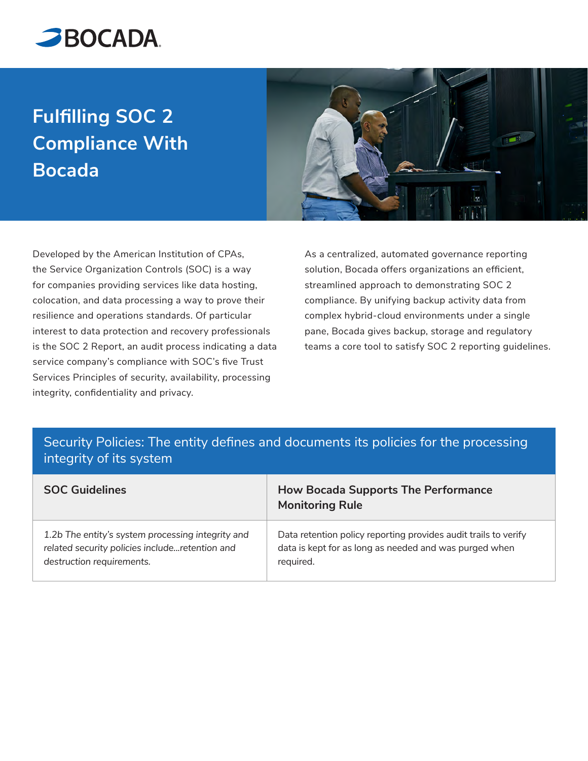

## **Fulfilling SOC 2 Compliance With Bocada**



Developed by the American Institution of CPAs, the Service Organization Controls (SOC) is a way for companies providing services like data hosting, colocation, and data processing a way to prove their resilience and operations standards. Of particular interest to data protection and recovery professionals is the SOC 2 Report, an audit process indicating a data service company's compliance with SOC's five Trust Services Principles of security, availability, processing integrity, confidentiality and privacy.

As a centralized, automated governance reporting solution, Bocada offers organizations an efficient, streamlined approach to demonstrating SOC 2 compliance. By unifying backup activity data from complex hybrid-cloud environments under a single pane, Bocada gives backup, storage and regulatory teams a core tool to satisfy SOC 2 reporting guidelines.

## Security Policies: The entity defines and documents its policies for the processing integrity of its system

| <b>SOC Guidelines</b>                             | <b>How Bocada Supports The Performance</b><br><b>Monitoring Rule</b> |
|---------------------------------------------------|----------------------------------------------------------------------|
| 1.2b The entity's system processing integrity and | Data retention policy reporting provides audit trails to verify      |
| related security policies includeretention and    | data is kept for as long as needed and was purged when               |
| destruction requirements.                         | required.                                                            |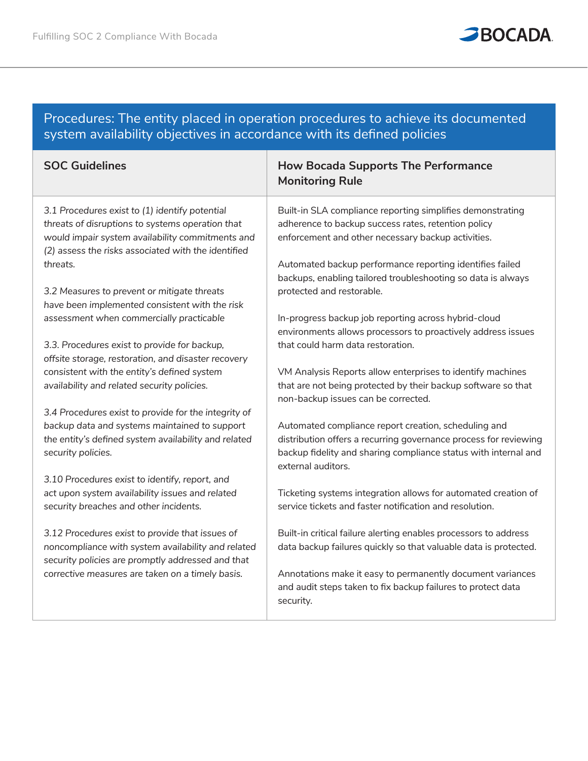

## Procedures: The entity placed in operation procedures to achieve its documented system availability objectives in accordance with its defined policies

| <b>SOC Guidelines</b>                                                                                                                                                                                         | <b>How Bocada Supports The Performance</b><br><b>Monitoring Rule</b>                                                                                                                                              |
|---------------------------------------------------------------------------------------------------------------------------------------------------------------------------------------------------------------|-------------------------------------------------------------------------------------------------------------------------------------------------------------------------------------------------------------------|
| 3.1 Procedures exist to (1) identify potential<br>threats of disruptions to systems operation that<br>would impair system availability commitments and<br>(2) assess the risks associated with the identified | Built-in SLA compliance reporting simplifies demonstrating<br>adherence to backup success rates, retention policy<br>enforcement and other necessary backup activities.                                           |
| threats.                                                                                                                                                                                                      | Automated backup performance reporting identifies failed<br>backups, enabling tailored troubleshooting so data is always                                                                                          |
| 3.2 Measures to prevent or mitigate threats<br>have been implemented consistent with the risk                                                                                                                 | protected and restorable.                                                                                                                                                                                         |
| assessment when commercially practicable                                                                                                                                                                      | In-progress backup job reporting across hybrid-cloud<br>environments allows processors to proactively address issues                                                                                              |
| 3.3. Procedures exist to provide for backup,<br>offsite storage, restoration, and disaster recovery                                                                                                           | that could harm data restoration.                                                                                                                                                                                 |
| consistent with the entity's defined system<br>availability and related security policies.                                                                                                                    | VM Analysis Reports allow enterprises to identify machines<br>that are not being protected by their backup software so that<br>non-backup issues can be corrected.                                                |
| 3.4 Procedures exist to provide for the integrity of                                                                                                                                                          |                                                                                                                                                                                                                   |
| backup data and systems maintained to support<br>the entity's defined system availability and related<br>security policies.                                                                                   | Automated compliance report creation, scheduling and<br>distribution offers a recurring governance process for reviewing<br>backup fidelity and sharing compliance status with internal and<br>external auditors. |
| 3.10 Procedures exist to identify, report, and                                                                                                                                                                |                                                                                                                                                                                                                   |
| act upon system availability issues and related<br>security breaches and other incidents.                                                                                                                     | Ticketing systems integration allows for automated creation of<br>service tickets and faster notification and resolution.                                                                                         |
| 3.12 Procedures exist to provide that issues of<br>noncompliance with system availability and related<br>security policies are promptly addressed and that                                                    | Built-in critical failure alerting enables processors to address<br>data backup failures quickly so that valuable data is protected.                                                                              |
| corrective measures are taken on a timely basis.                                                                                                                                                              | Annotations make it easy to permanently document variances<br>and audit steps taken to fix backup failures to protect data<br>security.                                                                           |